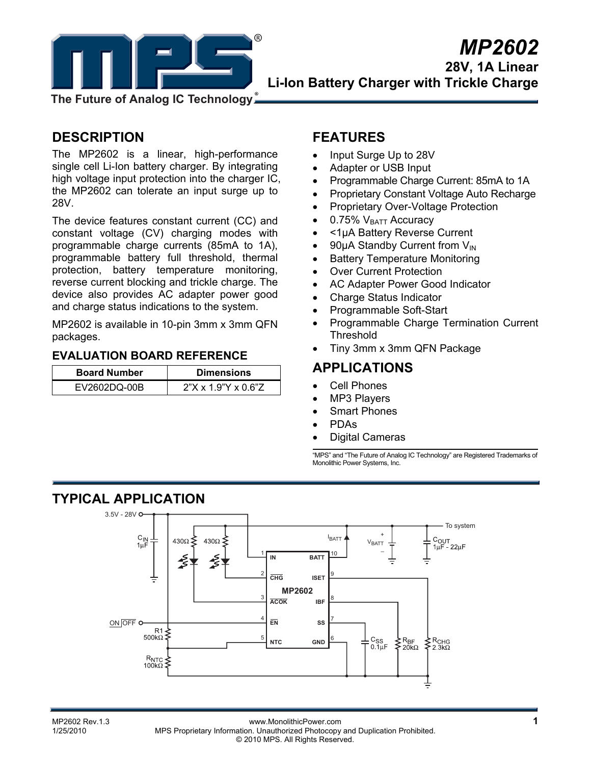

**28V, 1A Linear Li-Ion Battery Charger with Trickle Charge** 

**The Future of Analog IC Technology**

## **DESCRIPTION**

The MP2602 is a linear, high-performance single cell Li-Ion battery charger. By integrating high voltage input protection into the charger IC, the MP2602 can tolerate an input surge up to 28V.

The device features constant current (CC) and constant voltage (CV) charging modes with programmable charge currents (85mA to 1A), programmable battery full threshold, thermal protection, battery temperature monitoring, reverse current blocking and trickle charge. The device also provides AC adapter power good and charge status indications to the system.

MP2602 is available in 10-pin 3mm x 3mm QFN packages.

#### **EVALUATION BOARD REFERENCE**

| <b>Board Number</b> | <b>Dimensions</b>               |
|---------------------|---------------------------------|
| EV2602DQ-00B        | $2"X \times 1.9"Y \times 0.6"Z$ |

### **FEATURES**

- Input Surge Up to 28V
- Adapter or USB Input
- Programmable Charge Current: 85mA to 1A
- Proprietary Constant Voltage Auto Recharge
- Proprietary Over-Voltage Protection
- $\bullet$  0.75%  $V_{\text{BATT}}$  Accuracy
- <1µA Battery Reverse Current
- 90 $\mu$ A Standby Current from  $V_{\text{IN}}$
- Battery Temperature Monitoring
- Over Current Protection
- AC Adapter Power Good Indicator
- Charge Status Indicator
- Programmable Soft-Start
- Programmable Charge Termination Current Threshold
- Tiny 3mm x 3mm QFN Package

### **APPLICATIONS**

- Cell Phones
- MP3 Players
- **Smart Phones**
- PDAs
- Digital Cameras

"MPS" and "The Future of Analog IC Technology" are Registered Trademarks of Monolithic Power Systems, Inc.

## **TYPICAL APPLICATION**



MP2602 Rev.1.3 **MP2602 Rev.1.3** www.MonolithicPower.com **1**<br>1/25/2010 MPS Proprietary Information Unauthorized Photocopy and Duplication Prohibited MPS Proprietary Information. Unauthorized Photocopy and Duplication Prohibited. © 2010 MPS. All Rights Reserved.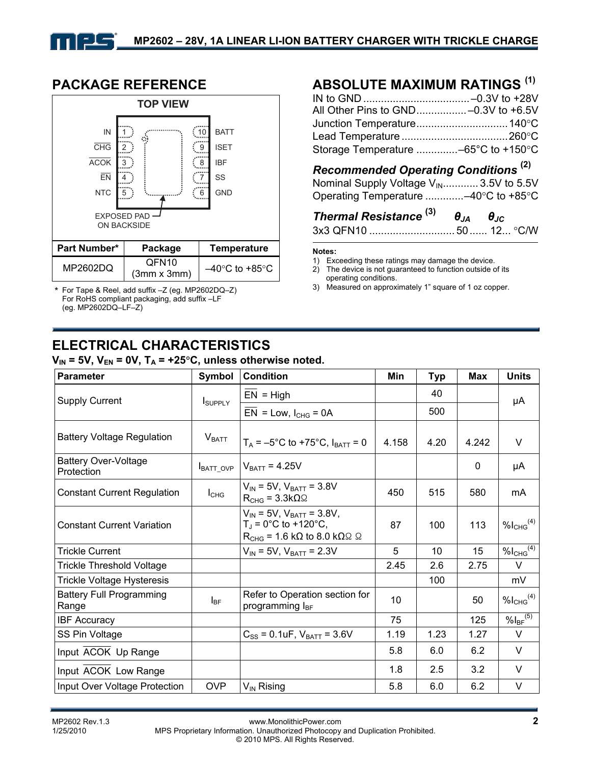

**PACKAGE REFERENCE**

\* For Tape & Reel, add suffix –Z (eg. MP2602DQ–Z) For RoHS compliant packaging, add suffix –LF (eg. MP2602DQ–LF–Z)

# **ABSOLUTE MAXIMUM RATINGS (1)**

| All Other Pins to GND-0.3V to +6.5V |
|-------------------------------------|
|                                     |
|                                     |
| Storage Temperature -65°C to +150°C |
|                                     |

### *Recommended Operating Conditions* **(2)**

Nominal Supply Voltage  $V_{\text{IN}}$ ............ 3.5V to 5.5V Operating Temperature .............–40°C to +85°C

### *Thermal Resistance* **(3)** *θJA θJC* 3x3 QFN10 ............................. 50...... 12... °C/W

#### **Notes:**

- 1) Exceeding these ratings may damage the device.
- 2) The device is not guaranteed to function outside of its operating conditions.
- 3) Measured on approximately 1" square of 1 oz copper.

# **ELECTRICAL CHARACTERISTICS**

| $V_{\text{IN}}$ = 5V, V <sub>EN</sub> = 0V, T <sub>A</sub> = +25°C, unless otherwise noted. |  |  |
|---------------------------------------------------------------------------------------------|--|--|
|---------------------------------------------------------------------------------------------|--|--|

| <b>Parameter</b>                          | <b>Symbol</b>     | <b>Condition</b>                                                                                                               | Min   | <b>Typ</b> | <b>Max</b> | <b>Units</b>              |
|-------------------------------------------|-------------------|--------------------------------------------------------------------------------------------------------------------------------|-------|------------|------------|---------------------------|
| <b>Supply Current</b>                     | <b>I</b> SUPPLY   | $EN = High$                                                                                                                    |       | 40         |            | μA                        |
|                                           |                   | $EN = Low, I_{CHG} = 0A$                                                                                                       |       | 500        |            |                           |
| <b>Battery Voltage Regulation</b>         | V <sub>BATT</sub> | $T_A = -5^{\circ}C$ to +75°C, $I_{BATT} = 0$                                                                                   | 4.158 | 4.20       | 4.242      | $\vee$                    |
| <b>Battery Over-Voltage</b><br>Protection | BATT_OVP          | $V_{BAT}$ = 4.25V                                                                                                              |       |            | 0          | μA                        |
| <b>Constant Current Regulation</b>        | $I_{CHG}$         | $V_{IN}$ = 5V, $V_{BAT}$ = 3.8V<br>$R_{CHG} = 3.3k\Omega\Omega$                                                                | 450   | 515        | 580        | mA                        |
| <b>Constant Current Variation</b>         |                   | $V_{IN}$ = 5V, $V_{BATT}$ = 3.8V,<br>$T_J = 0$ °C to +120°C,<br>$R_{CHG}$ = 1.6 k $\Omega$ to 8.0 k $\Omega$ $\Omega$ $\Omega$ | 87    | 100        | 113        | $%I_{CHG}^{(4)}$          |
| <b>Trickle Current</b>                    |                   | $V_{IN}$ = 5V, $V_{BATT}$ = 2.3V                                                                                               | 5     | 10         | 15         | $%I_{CHG}$ <sup>(4)</sup> |
| <b>Trickle Threshold Voltage</b>          |                   |                                                                                                                                | 2.45  | 2.6        | 2.75       | $\vee$                    |
| Trickle Voltage Hysteresis                |                   |                                                                                                                                |       | 100        |            | mV                        |
| <b>Battery Full Programming</b><br>Range  | $I_{BF}$          | Refer to Operation section for<br>programming l <sub>BF</sub>                                                                  | 10    |            | 50         | $%I_{CHG}^{(4)}$          |
| <b>IBF Accuracy</b>                       |                   |                                                                                                                                | 75    |            | 125        | $%I_{BF}$ <sup>(5)</sup>  |
| SS Pin Voltage                            |                   | $C_{SS}$ = 0.1uF, $V_{BATT}$ = 3.6V                                                                                            | 1.19  | 1.23       | 1.27       | $\vee$                    |
| Input ACOK Up Range                       |                   |                                                                                                                                | 5.8   | 6.0        | 6.2        | V                         |
| Input ACOK Low Range                      |                   |                                                                                                                                | 1.8   | 2.5        | 3.2        | V                         |
| Input Over Voltage Protection             | OVP               | V <sub>IN</sub> Rising                                                                                                         | 5.8   | 6.0        | 6.2        | $\vee$                    |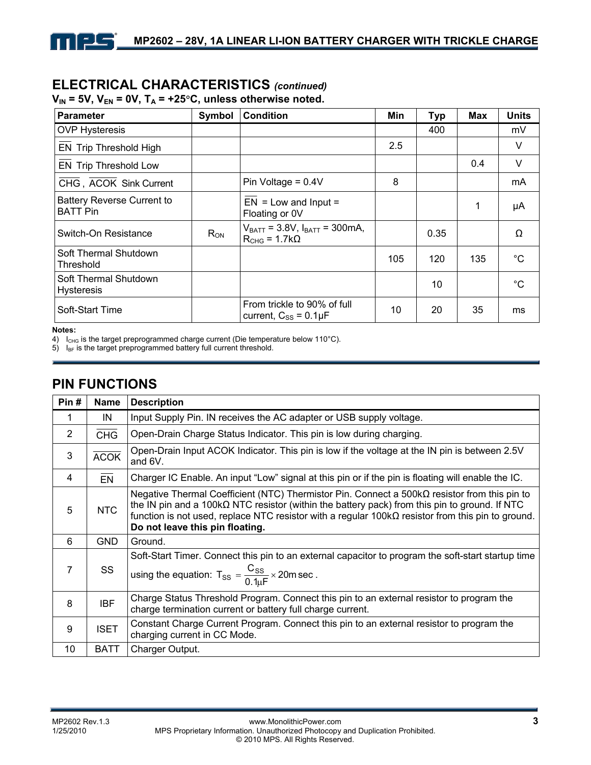## **ELECTRICAL CHARACTERISTICS** *(continued)*

| Parameter                                            | Symbol   | <b>Condition</b>                                               | Min | <b>Typ</b> | <b>Max</b> | <b>Units</b> |
|------------------------------------------------------|----------|----------------------------------------------------------------|-----|------------|------------|--------------|
| <b>OVP Hysteresis</b>                                |          |                                                                |     | 400        |            | mV           |
| <b>EN Trip Threshold High</b>                        |          |                                                                | 2.5 |            |            | V            |
| EN Trip Threshold Low                                |          |                                                                |     |            | 0.4        | V            |
| CHG, ACOK Sink Current                               |          | Pin Voltage = $0.4V$                                           | 8   |            |            | mA           |
| <b>Battery Reverse Current to</b><br><b>BATT Pin</b> |          | $EN = Low$ and $Input =$<br>Floating or 0V                     |     |            | 1          | μA           |
| Switch-On Resistance                                 | $R_{ON}$ | $V_{BAT} = 3.8 V, I_{BAT} = 300 mA,$<br>$R_{CHG} = 1.7k\Omega$ |     | 0.35       |            | Ω            |
| Soft Thermal Shutdown<br>Threshold                   |          |                                                                | 105 | 120        | 135        | $^{\circ}$ C |
| Soft Thermal Shutdown<br><b>Hysteresis</b>           |          |                                                                |     | 10         |            | $^{\circ}C$  |
| Soft-Start Time                                      |          | From trickle to 90% of full<br>current, $C_{SS} = 0.1 \mu F$   | 10  | 20         | 35         | ms           |

#### $V_{IN}$  = 5V,  $V_{EN}$  = 0V,  $T_A$  = +25°C, unless otherwise noted.

#### **Notes:**

4) I<sub>CHG</sub> is the target preprogrammed charge current (Die temperature below 110°C).

 $5)$   $I_{BF}$  is the target preprogrammed battery full current threshold.

## **PIN FUNCTIONS**

كالع

| Pin# | <b>Name</b> | <b>Description</b>                                                                                                                                                                                                                                                                                                                                          |
|------|-------------|-------------------------------------------------------------------------------------------------------------------------------------------------------------------------------------------------------------------------------------------------------------------------------------------------------------------------------------------------------------|
| 1    | IN          | Input Supply Pin. IN receives the AC adapter or USB supply voltage.                                                                                                                                                                                                                                                                                         |
| 2    | <b>CHG</b>  | Open-Drain Charge Status Indicator. This pin is low during charging.                                                                                                                                                                                                                                                                                        |
| 3    | <b>ACOK</b> | Open-Drain Input ACOK Indicator. This pin is low if the voltage at the IN pin is between 2.5V<br>and 6V.                                                                                                                                                                                                                                                    |
| 4    | <b>EN</b>   | Charger IC Enable. An input "Low" signal at this pin or if the pin is floating will enable the IC.                                                                                                                                                                                                                                                          |
| 5    | <b>NTC</b>  | Negative Thermal Coefficient (NTC) Thermistor Pin. Connect a $500k\Omega$ resistor from this pin to<br>the IN pin and a 100k $\Omega$ NTC resistor (within the battery pack) from this pin to ground. If NTC<br>function is not used, replace NTC resistor with a regular $100k\Omega$ resistor from this pin to ground.<br>Do not leave this pin floating. |
| 6    | <b>GND</b>  | Ground.                                                                                                                                                                                                                                                                                                                                                     |
| 7    | SS          | Soft-Start Timer. Connect this pin to an external capacitor to program the soft-start startup time<br>using the equation: $T_{SS} = \frac{C_{SS}}{0.1 \text{ mF}} \times 20 \text{ m sec}$ .                                                                                                                                                                |
| 8    | <b>IBF</b>  | Charge Status Threshold Program. Connect this pin to an external resistor to program the<br>charge termination current or battery full charge current.                                                                                                                                                                                                      |
| 9    | <b>ISET</b> | Constant Charge Current Program. Connect this pin to an external resistor to program the<br>charging current in CC Mode.                                                                                                                                                                                                                                    |
| 10   | <b>BATT</b> | Charger Output.                                                                                                                                                                                                                                                                                                                                             |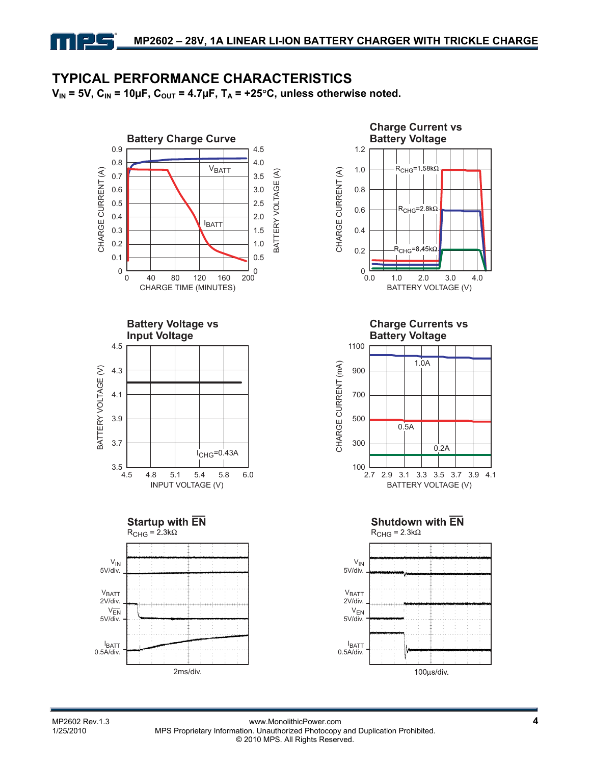# **TYPICAL PERFORMANCE CHARACTERISTICS**

 $V_{IN}$  = 5V,  $C_{IN}$  = 10µF,  $C_{OUT}$  = 4.7µF,  $T_A$  = +25°C, unless otherwise noted.









**Charge Currents vs Battery Voltage**







MP2602 Rev.1.3 **MP2602 Rev.1.3** www.MonolithicPower.com **4** www.MonolithicPower.com **4** MP2602 Rev.1.3 MPS Proprietary Information. Unauthorized Photocopy and Duplication Prohibited. © 2010 MPS. All Rights Reserved.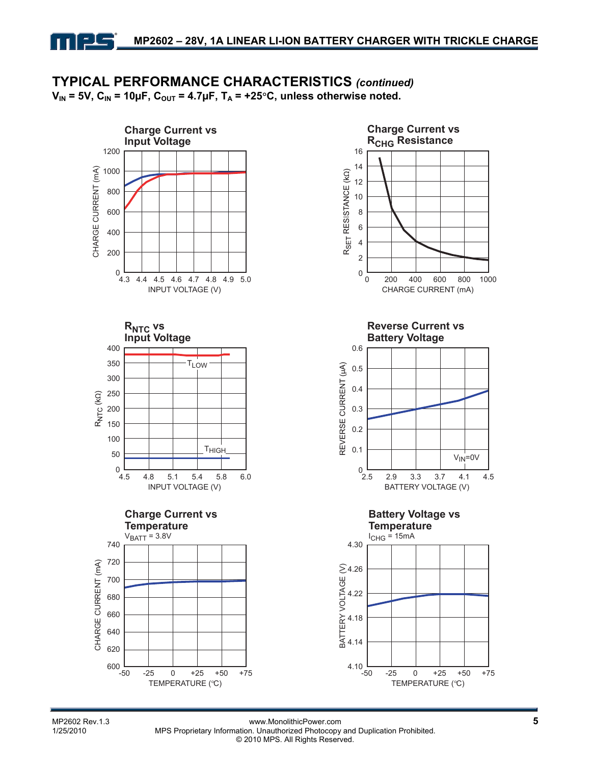# **TYPICAL PERFORMANCE CHARACTERISTICS** *(continued)*

 $V_{IN}$  = 5V,  $C_{IN}$  = 10µF,  $C_{OUT}$  = 4.7µF,  $T_A$  = +25°C, unless otherwise noted.



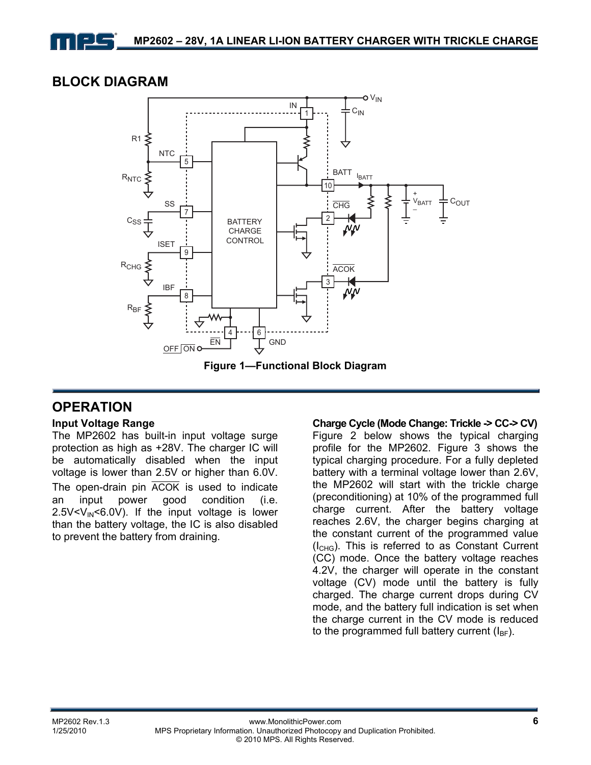## **BLOCK DIAGRAM**



### **OPERATION**

#### **Input Voltage Range**

The MP2602 has built-in input voltage surge protection as high as +28V. The charger IC will be automatically disabled when the input voltage is lower than 2.5V or higher than 6.0V. The open-drain pin ACOK is used to indicate an input power good condition (i.e.  $2.5V < V<sub>IN</sub> < 6.0V$ ). If the input voltage is lower than the battery voltage, the IC is also disabled to prevent the battery from draining.

## **Charge Cycle (Mode Change: Trickle -> CC-> CV)**

Figure 2 below shows the typical charging profile for the MP2602. Figure 3 shows the typical charging procedure. For a fully depleted battery with a terminal voltage lower than 2.6V, the MP2602 will start with the trickle charge (preconditioning) at 10% of the programmed full charge current. After the battery voltage reaches 2.6V, the charger begins charging at the constant current of the programmed value (ICHG). This is referred to as Constant Current (CC) mode. Once the battery voltage reaches 4.2V, the charger will operate in the constant voltage (CV) mode until the battery is fully charged. The charge current drops during CV mode, and the battery full indication is set when the charge current in the CV mode is reduced to the programmed full battery current  $(I_{BF})$ .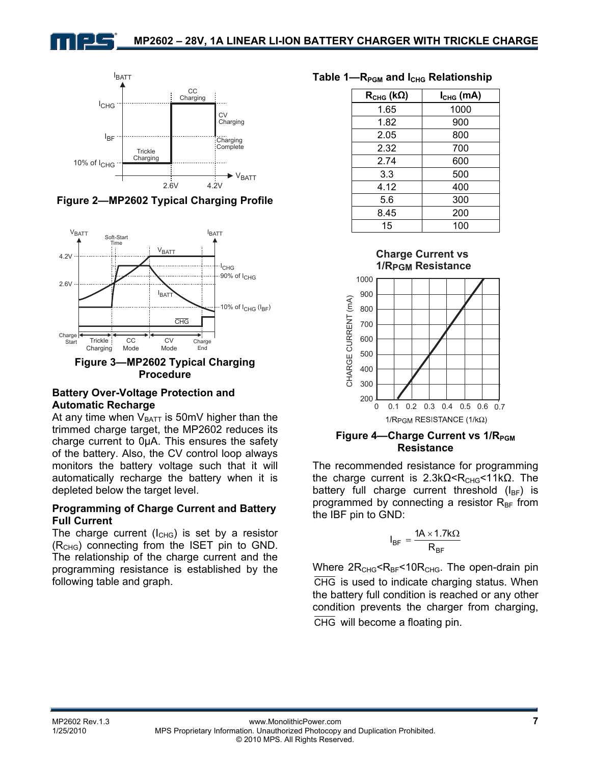



**Figure 2—MP2602 Typical Charging Profile** 



**Figure 3—MP2602 Typical Charging Procedure** 

#### **Battery Over-Voltage Protection and Automatic Recharge**

At any time when  $V_{BATT}$  is 50mV higher than the trimmed charge target, the MP2602 reduces its charge current to 0µA. This ensures the safety of the battery. Also, the CV control loop always monitors the battery voltage such that it will automatically recharge the battery when it is depleted below the target level.

#### **Programming of Charge Current and Battery Full Current**

The charge current  $(I_{CHG})$  is set by a resistor  $(R<sub>CHG</sub>)$  connecting from the ISET pin to GND. The relationship of the charge current and the programming resistance is established by the following table and graph.

#### Table 1—R<sub>PGM</sub> and I<sub>CHG</sub> Relationship

| $R_{CHG}$ (k $\Omega$ ) | $I_{CHG}$ (mA) |
|-------------------------|----------------|
| 1.65                    | 1000           |
| 1.82                    | 900            |
| 2.05                    | 800            |
| 2.32                    | 700            |
| 2.74                    | 600            |
| 3.3                     | 500            |
| 4.12                    | 400            |
| 5.6                     | 300            |
| 8.45                    | 200            |
| 15                      | 100            |



#### **Figure 4—Charge Current vs 1/R**<sub>PGM</sub> **Resistance**

The recommended resistance for programming the charge current is  $2.3kΩ < R<sub>CHG</sub> < 11kΩ$ . The battery full charge current threshold  $(I_{BF})$  is programmed by connecting a resistor  $R_{BF}$  from the IBF pin to GND:

$$
I_{BF} = \frac{1A \times 1.7k\Omega}{R_{BF}}
$$

Where  $2R<sub>CHG</sub>< R<sub>BF</sub>< 10R<sub>CHG</sub>$ . The open-drain pin CHG is used to indicate charging status. When the battery full condition is reached or any other condition prevents the charger from charging, CHG will become a floating pin.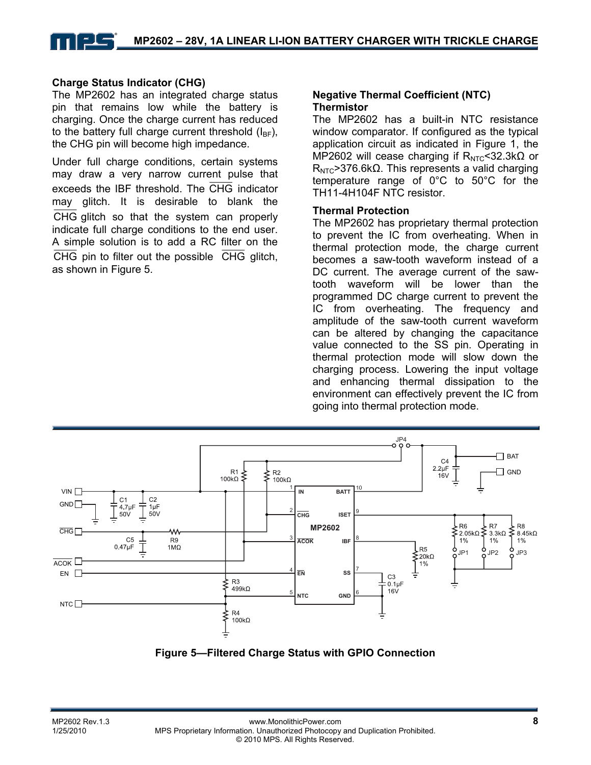#### **Charge Status Indicator (CHG)**

The MP2602 has an integrated charge status pin that remains low while the battery is charging. Once the charge current has reduced to the battery full charge current threshold  $(I_{BF})$ , the CHG pin will become high impedance.

Under full charge conditions, certain systems may draw a very narrow current pulse that exceeds the IBF threshold. The CHG indicator may glitch. It is desirable to blank the CHG glitch so that the system can properly indicate full charge conditions to the end user. A simple solution is to add a RC filter on the CHG pin to filter out the possible  $\overline{CHG}$  glitch, as shown in Figure 5.

#### **Negative Thermal Coefficient (NTC) Thermistor**

The MP2602 has a built-in NTC resistance window comparator. If configured as the typical application circuit as indicated in Figure 1, the MP2602 will cease charging if  $R_{NTC}$ <32.3k $\Omega$  or  $R<sub>NTC</sub>$ >376.6kΩ. This represents a valid charging temperature range of 0°C to 50°C for the TH11-4H104F NTC resistor.

#### **Thermal Protection**

The MP2602 has proprietary thermal protection to prevent the IC from overheating. When in thermal protection mode, the charge current becomes a saw-tooth waveform instead of a DC current. The average current of the sawtooth waveform will be lower than the programmed DC charge current to prevent the IC from overheating. The frequency and amplitude of the saw-tooth current waveform can be altered by changing the capacitance value connected to the SS pin. Operating in thermal protection mode will slow down the charging process. Lowering the input voltage and enhancing thermal dissipation to the environment can effectively prevent the IC from going into thermal protection mode.



**Figure 5—Filtered Charge Status with GPIO Connection**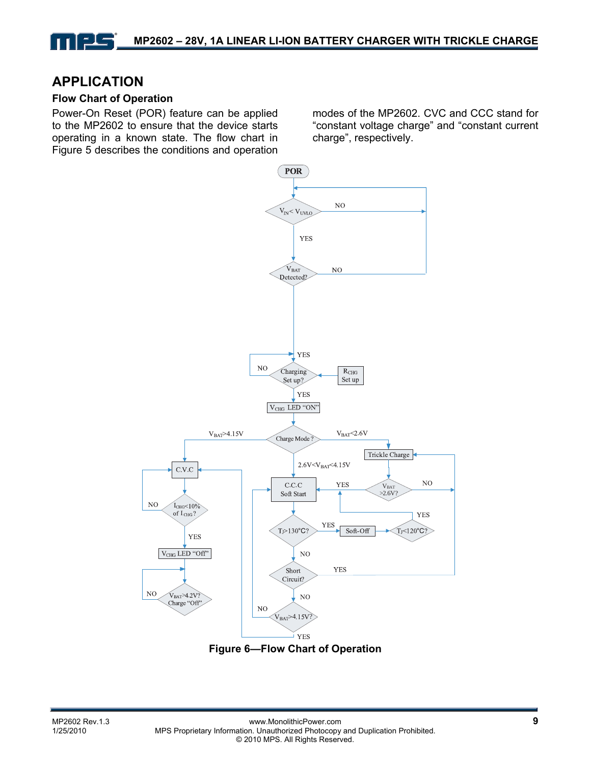### **APPLICATION**

#### **Flow Chart of Operation**

Power-On Reset (POR) feature can be applied to the MP2602 to ensure that the device starts operating in a known state. The flow chart in Figure 5 describes the conditions and operation modes of the MP2602. CVC and CCC stand for "constant voltage charge" and "constant current charge", respectively.



**Figure 6—Flow Chart of Operation**